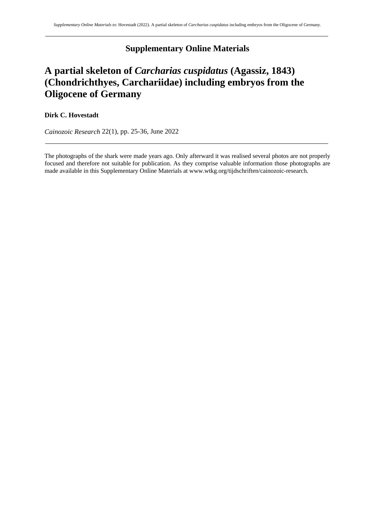# **Supplementary Online Materials**

# **A partial skeleton of** *Carcharias cuspidatus* **(Agassiz, 1843) (Chondrichthyes, Carchariidae) including embryos from the Oligocene of Germany**

## **Dirk C. Hovestadt**

*Cainozoic Research* 22(1), pp. 25-36, June 2022

The photographs of the shark were made years ago. Only afterward it was realised several photos are not properly focused and therefore not suitable for publication. As they comprise valuable information those photographs are made available in this Supplementary Online Materials at www.wtkg.org/tijdschriften/cainozoic-research.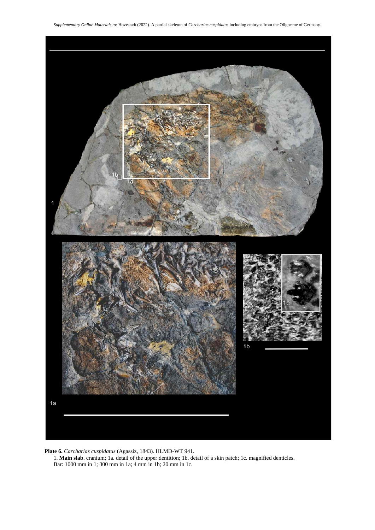

**Plate 6.** *Carcharias cuspidatus* (Agassiz, 1843). HLMD-WT 941.

1. **Main slab**. cranium; 1a. detail of the upper dentition; 1b. detail of a skin patch; 1c. magnified denticles. Bar: 1000 mm in 1; 300 mm in 1a; 4 mm in 1b; 20 mm in 1c.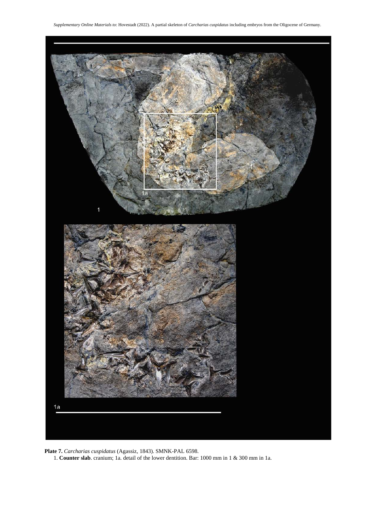

**Plate 7.** *Carcharias cuspidatus* (Agassiz, 1843). SMNK-PAL 6598.

1. **Counter slab**. cranium; 1a. detail of the lower dentition. Bar: 1000 mm in 1 & 300 mm in 1a.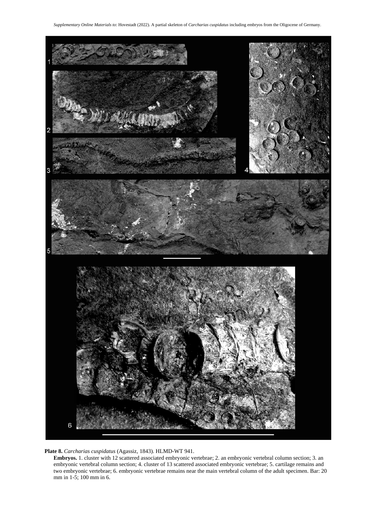

**Plate 8.** *Carcharias cuspidatus* (Agassiz, 1843). HLMD-WT 941.

**Embryos.** 1. cluster with 12 scattered associated embryonic vertebrae; 2. an embryonic vertebral column section; 3. an embryonic vertebral column section; 4. cluster of 13 scattered associated embryonic vertebrae; 5. cartilage remains and two embryonic vertebrae; 6. embryonic vertebrae remains near the main vertebral column of the adult specimen. Bar: 20 mm in 1-5; 100 mm in 6.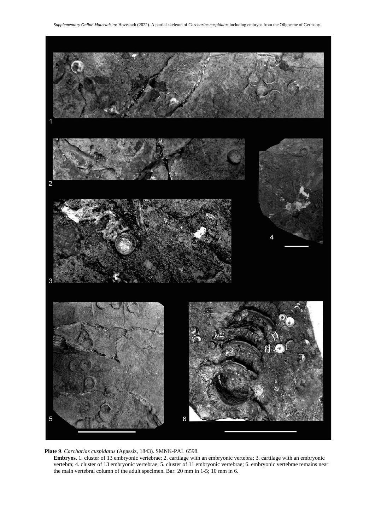

### **Plate 9**. *Carcharias cuspidatus* (Agassiz, 1843). SMNK-PAL 6598.

**Embryos.** 1. cluster of 13 embryonic vertebrae; 2. cartilage with an embryonic vertebra; 3. cartilage with an embryonic vertebra; 4. cluster of 13 embryonic vertebrae; 5. cluster of 11 embryonic vertebrae; 6. embryonic vertebrae remains near the main vertebral column of the adult specimen. Bar: 20 mm in 1-5; 10 mm in 6.